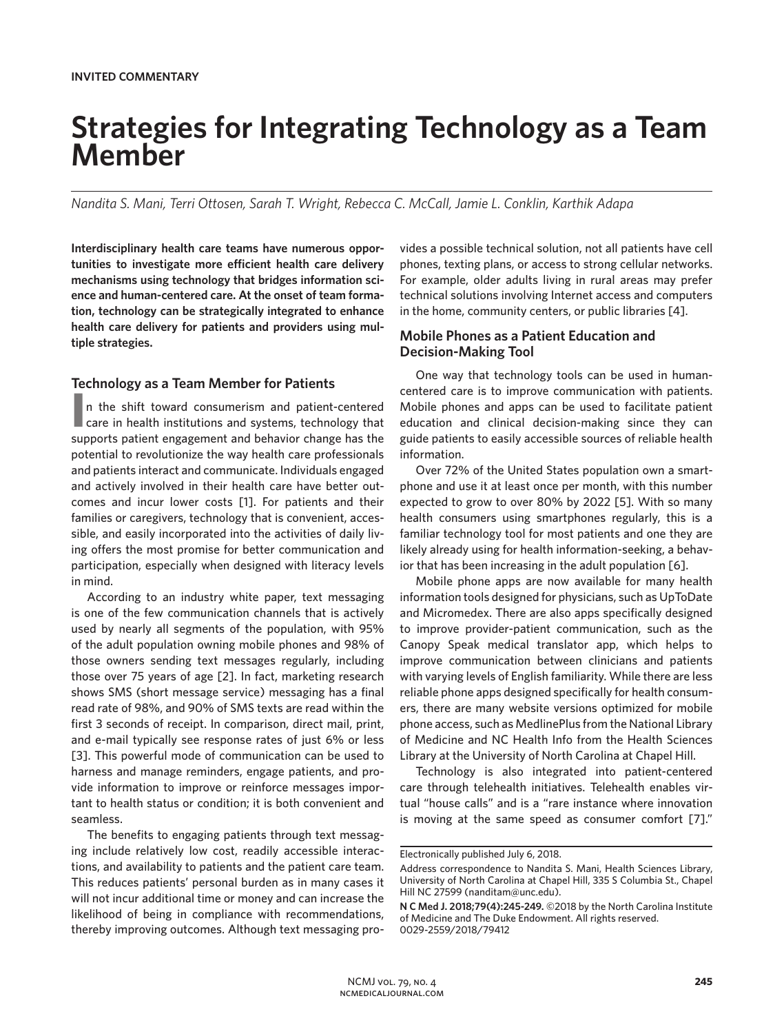# **Strategies for Integrating Technology as a Team Member**

*Nandita S. Mani, Terri Ottosen, Sarah T. Wright, Rebecca C. McCall, Jamie L. Conklin, Karthik Adapa* 

**Interdisciplinary health care teams have numerous opportunities to investigate more efficient health care delivery mechanisms using technology that bridges information science and human-centered care. At the onset of team formation, technology can be strategically integrated to enhance health care delivery for patients and providers using multiple strategies.** 

#### **Technology as a Team Member for Patients**

In the shift toward consumerism and patient-centered<br>
care in health institutions and systems, technology that n the shift toward consumerism and patient-centered supports patient engagement and behavior change has the potential to revolutionize the way health care professionals and patients interact and communicate. Individuals engaged and actively involved in their health care have better outcomes and incur lower costs [1]. For patients and their families or caregivers, technology that is convenient, accessible, and easily incorporated into the activities of daily living offers the most promise for better communication and participation, especially when designed with literacy levels in mind.

According to an industry white paper, text messaging is one of the few communication channels that is actively used by nearly all segments of the population, with 95% of the adult population owning mobile phones and 98% of those owners sending text messages regularly, including those over 75 years of age [2]. In fact, marketing research shows SMS (short message service) messaging has a final read rate of 98%, and 90% of SMS texts are read within the first 3 seconds of receipt. In comparison, direct mail, print, and e-mail typically see response rates of just 6% or less [3]. This powerful mode of communication can be used to harness and manage reminders, engage patients, and provide information to improve or reinforce messages important to health status or condition; it is both convenient and seamless.

The benefits to engaging patients through text messaging include relatively low cost, readily accessible interactions, and availability to patients and the patient care team. This reduces patients' personal burden as in many cases it will not incur additional time or money and can increase the likelihood of being in compliance with recommendations, thereby improving outcomes. Although text messaging provides a possible technical solution, not all patients have cell phones, texting plans, or access to strong cellular networks. For example, older adults living in rural areas may prefer technical solutions involving Internet access and computers in the home, community centers, or public libraries [4].

## **Mobile Phones as a Patient Education and Decision-Making Tool**

One way that technology tools can be used in humancentered care is to improve communication with patients. Mobile phones and apps can be used to facilitate patient education and clinical decision-making since they can guide patients to easily accessible sources of reliable health information.

Over 72% of the United States population own a smartphone and use it at least once per month, with this number expected to grow to over 80% by 2022 [5]. With so many health consumers using smartphones regularly, this is a familiar technology tool for most patients and one they are likely already using for health information-seeking, a behavior that has been increasing in the adult population [6].

Mobile phone apps are now available for many health information tools designed for physicians, such as UpToDate and Micromedex. There are also apps specifically designed to improve provider-patient communication, such as the Canopy Speak medical translator app, which helps to improve communication between clinicians and patients with varying levels of English familiarity. While there are less reliable phone apps designed specifically for health consumers, there are many website versions optimized for mobile phone access, such as MedlinePlus from the National Library of Medicine and NC Health Info from the Health Sciences Library at the University of North Carolina at Chapel Hill.

Technology is also integrated into patient-centered care through telehealth initiatives. Telehealth enables virtual "house calls" and is a "rare instance where innovation is moving at the same speed as consumer comfort [7]."

Electronically published July 6, 2018.

Address correspondence to Nandita S. Mani, Health Sciences Library, University of North Carolina at Chapel Hill, 335 S Columbia St., Chapel Hill NC 27599 (nanditam@unc.edu).

**N C Med J. 2018;79(4):245-249.** ©2018 by the North Carolina Institute of Medicine and The Duke Endowment. All rights reserved. 0029-2559/2018/79412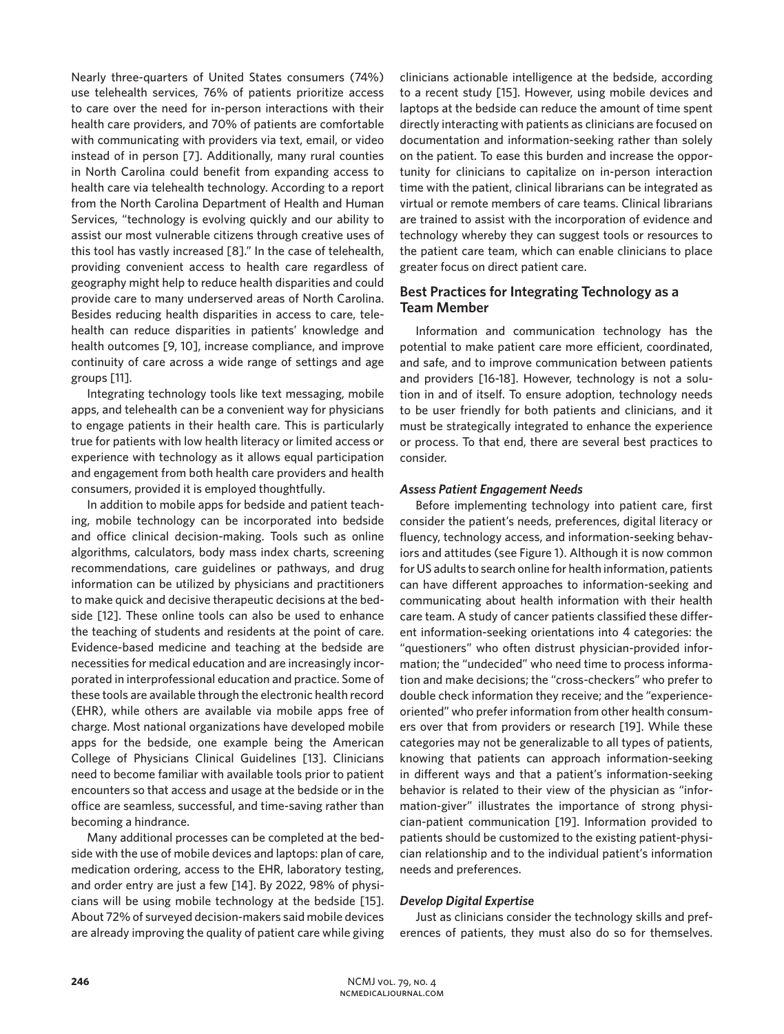Nearly three-quarters of United States consumers (74%) use telehealth services, 76% of patients prioritize access to care over the need for in-person interactions with their health care providers, and 70% of patients are comfortable with communicating with providers via text, email, or video instead of in person [7]. Additionally, many rural counties in North Carolina could benefit from expanding access to health care via telehealth technology. According to a report from the North Carolina Department of Health and Human Services, "technology is evolving quickly and our ability to assist our most vulnerable citizens through creative uses of this tool has vastly increased [8]." In the case of telehealth, providing convenient access to health care regardless of geography might help to reduce health disparities and could provide care to many underserved areas of North Carolina. Besides reducing health disparities in access to care, telehealth can reduce disparities in patients' knowledge and health outcomes [9, 10], increase compliance, and improve continuity of care across a wide range of settings and age groups [11].

Integrating technology tools like text messaging, mobile apps, and telehealth can be a convenient way for physicians to engage patients in their health care. This is particularly true for patients with low health literacy or limited access or experience with technology as it allows equal participation and engagement from both health care providers and health consumers, provided it is employed thoughtfully.

In addition to mobile apps for bedside and patient teaching, mobile technology can be incorporated into bedside and office clinical decision-making. Tools such as online algorithms, calculators, body mass index charts, screening recommendations, care guidelines or pathways, and drug information can be utilized by physicians and practitioners to make quick and decisive therapeutic decisions at the bedside [12]. These online tools can also be used to enhance the teaching of students and residents at the point of care. Evidence-based medicine and teaching at the bedside are necessities for medical education and are increasingly incorporated in interprofessional education and practice. Some of these tools are available through the electronic health record (EHR), while others are available via mobile apps free of charge. Most national organizations have developed mobile apps for the bedside, one example being the American College of Physicians Clinical Guidelines [13]. Clinicians need to become familiar with available tools prior to patient encounters so that access and usage at the bedside or in the office are seamless, successful, and time-saving rather than becoming a hindrance.

Many additional processes can be completed at the bedside with the use of mobile devices and laptops: plan of care, medication ordering, access to the EHR, laboratory testing, and order entry are just a few [14]. By 2022, 98% of physicians will be using mobile technology at the bedside [15]. About 72% of surveyed decision-makers said mobile devices are already improving the quality of patient care while giving clinicians actionable intelligence at the bedside, according to a recent study [15]. However, using mobile devices and laptops at the bedside can reduce the amount of time spent directly interacting with patients as clinicians are focused on documentation and information-seeking rather than solely on the patient. To ease this burden and increase the opportunity for clinicians to capitalize on in-person interaction time with the patient, clinical librarians can be integrated as virtual or remote members of care teams. Clinical librarians are trained to assist with the incorporation of evidence and technology whereby they can suggest tools or resources to the patient care team, which can enable clinicians to place greater focus on direct patient care.

## **Best Practices for Integrating Technology as a Team Member**

Information and communication technology has the potential to make patient care more efficient, coordinated, and safe, and to improve communication between patients and providers [16-18]. However, technology is not a solution in and of itself. To ensure adoption, technology needs to be user friendly for both patients and clinicians, and it must be strategically integrated to enhance the experience or process. To that end, there are several best practices to consider.

### *Assess Patient Engagement Needs*

Before implementing technology into patient care, first consider the patient's needs, preferences, digital literacy or fluency, technology access, and information-seeking behaviors and attitudes (see Figure 1). Although it is now common for US adults to search online for health information, patients can have different approaches to information-seeking and communicating about health information with their health care team. A study of cancer patients classified these different information-seeking orientations into 4 categories: the "questioners" who often distrust physician-provided information; the "undecided" who need time to process information and make decisions; the "cross-checkers" who prefer to double check information they receive; and the "experienceoriented" who prefer information from other health consumers over that from providers or research [19]. While these categories may not be generalizable to all types of patients, knowing that patients can approach information-seeking in different ways and that a patient's information-seeking behavior is related to their view of the physician as "information-giver" illustrates the importance of strong physician-patient communication [19]. Information provided to patients should be customized to the existing patient-physician relationship and to the individual patient's information needs and preferences.

#### *Develop Digital Expertise*

Just as clinicians consider the technology skills and preferences of patients, they must also do so for themselves.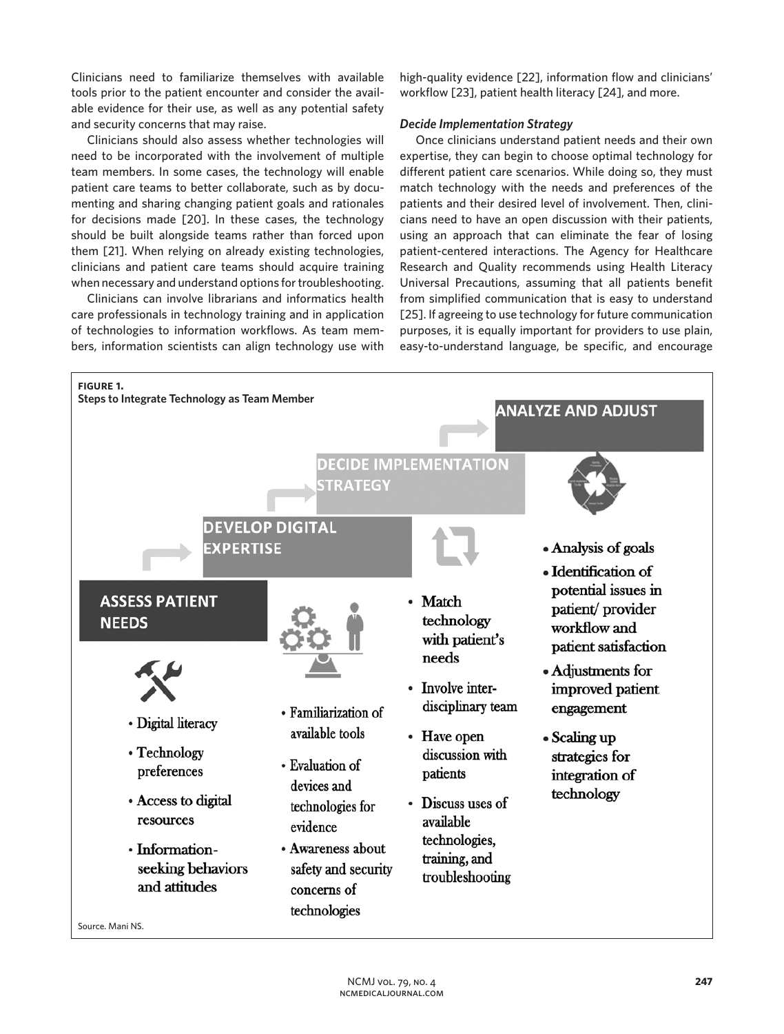Clinicians need to familiarize themselves with available tools prior to the patient encounter and consider the available evidence for their use, as well as any potential safety and security concerns that may raise.

Clinicians should also assess whether technologies will need to be incorporated with the involvement of multiple team members. In some cases, the technology will enable patient care teams to better collaborate, such as by documenting and sharing changing patient goals and rationales for decisions made [20]. In these cases, the technology should be built alongside teams rather than forced upon them [21]. When relying on already existing technologies, clinicians and patient care teams should acquire training when necessary and understand options for troubleshooting.

Clinicians can involve librarians and informatics health care professionals in technology training and in application of technologies to information workflows. As team members, information scientists can align technology use with high-quality evidence [22], information flow and clinicians' workflow [23], patient health literacy [24], and more.

#### *Decide Implementation Strategy*

Once clinicians understand patient needs and their own expertise, they can begin to choose optimal technology for different patient care scenarios. While doing so, they must match technology with the needs and preferences of the patients and their desired level of involvement. Then, clinicians need to have an open discussion with their patients, using an approach that can eliminate the fear of losing patient-centered interactions. The Agency for Healthcare Research and Quality recommends using Health Literacy Universal Precautions, assuming that all patients benefit from simplified communication that is easy to understand [25]. If agreeing to use technology for future communication purposes, it is equally important for providers to use plain, easy-to-understand language, be specific, and encourage

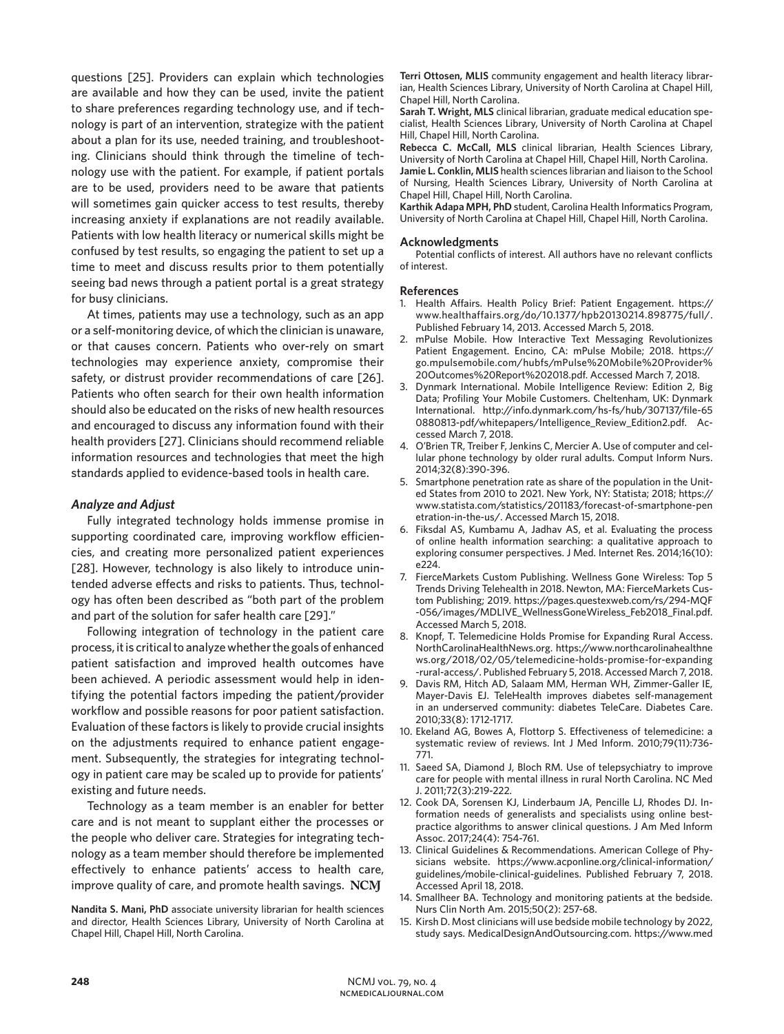questions [25]. Providers can explain which technologies are available and how they can be used, invite the patient to share preferences regarding technology use, and if technology is part of an intervention, strategize with the patient about a plan for its use, needed training, and troubleshooting. Clinicians should think through the timeline of technology use with the patient. For example, if patient portals are to be used, providers need to be aware that patients will sometimes gain quicker access to test results, thereby increasing anxiety if explanations are not readily available. Patients with low health literacy or numerical skills might be confused by test results, so engaging the patient to set up a time to meet and discuss results prior to them potentially seeing bad news through a patient portal is a great strategy for busy clinicians.

At times, patients may use a technology, such as an app or a self-monitoring device, of which the clinician is unaware, or that causes concern. Patients who over-rely on smart technologies may experience anxiety, compromise their safety, or distrust provider recommendations of care [26]. Patients who often search for their own health information should also be educated on the risks of new health resources and encouraged to discuss any information found with their health providers [27]. Clinicians should recommend reliable information resources and technologies that meet the high standards applied to evidence-based tools in health care.

#### *Analyze and Adjust*

Fully integrated technology holds immense promise in supporting coordinated care, improving workflow efficiencies, and creating more personalized patient experiences [28]. However, technology is also likely to introduce unintended adverse effects and risks to patients. Thus, technology has often been described as "both part of the problem and part of the solution for safer health care [29]."

Following integration of technology in the patient care process, it is critical to analyze whether the goals of enhanced patient satisfaction and improved health outcomes have been achieved. A periodic assessment would help in identifying the potential factors impeding the patient/provider workflow and possible reasons for poor patient satisfaction. Evaluation of these factors is likely to provide crucial insights on the adjustments required to enhance patient engagement. Subsequently, the strategies for integrating technology in patient care may be scaled up to provide for patients' existing and future needs.

Technology as a team member is an enabler for better care and is not meant to supplant either the processes or the people who deliver care. Strategies for integrating technology as a team member should therefore be implemented effectively to enhance patients' access to health care, improve quality of care, and promote health savings. NCM

**Nandita S. Mani, PhD** associate university librarian for health sciences and director, Health Sciences Library, University of North Carolina at Chapel Hill, Chapel Hill, North Carolina.

**Terri Ottosen, MLIS** community engagement and health literacy librarian, Health Sciences Library, University of North Carolina at Chapel Hill, Chapel Hill, North Carolina.

**Sarah T. Wright, MLS** clinical librarian, graduate medical education specialist, Health Sciences Library, University of North Carolina at Chapel Hill, Chapel Hill, North Carolina.

**Rebecca C. McCall, MLS** clinical librarian, Health Sciences Library, University of North Carolina at Chapel Hill, Chapel Hill, North Carolina. **Jamie L. Conklin, MLIS** health sciences librarian and liaison to the School of Nursing, Health Sciences Library, University of North Carolina at Chapel Hill, Chapel Hill, North Carolina.

**Karthik Adapa MPH, PhD** student, Carolina Health Informatics Program, University of North Carolina at Chapel Hill, Chapel Hill, North Carolina.

#### **Acknowledgments**

Potential conflicts of interest. All authors have no relevant conflicts of interest.

#### **References**

- 1. Health Affairs. Health Policy Brief: Patient Engagement. https:// www.healthaffairs.org/do/10.1377/hpb20130214.898775/full/. Published February 14, 2013. Accessed March 5, 2018.
- 2. mPulse Mobile. How Interactive Text Messaging Revolutionizes Patient Engagement. Encino, CA: mPulse Mobile; 2018. https:// go.mpulsemobile.com/hubfs/mPulse%20Mobile%20Provider% 20Outcomes%20Report%202018.pdf. Accessed March 7, 2018.
- 3. Dynmark International. Mobile Intelligence Review: Edition 2, Big Data; Profiling Your Mobile Customers. Cheltenham, UK: Dynmark International. http://info.dynmark.com/hs-fs/hub/307137/file-65 0880813-pdf/whitepapers/Intelligence\_Review\_Edition2.pdf. Accessed March 7, 2018.
- 4. O'Brien TR, Treiber F, Jenkins C, Mercier A. Use of computer and cellular phone technology by older rural adults. Comput Inform Nurs. 2014;32(8):390-396.
- 5. Smartphone penetration rate as share of the population in the United States from 2010 to 2021. New York, NY: Statista; 2018; https:// www.statista.com/statistics/201183/forecast-of-smartphone-pen etration-in-the-us/. Accessed March 15, 2018.
- 6. Fiksdal AS, Kumbamu A, Jadhav AS, et al. Evaluating the process of online health information searching: a qualitative approach to exploring consumer perspectives. J Med. Internet Res. 2014;16(10): e224.
- 7. FierceMarkets Custom Publishing. Wellness Gone Wireless: Top 5 Trends Driving Telehealth in 2018. Newton, MA: FierceMarkets Custom Publishing; 2019. https://pages.questexweb.com/rs/294-MQF -056/images/MDLIVE\_WellnessGoneWireless\_Feb2018\_Final.pdf. Accessed March 5, 2018.
- 8. Knopf, T. Telemedicine Holds Promise for Expanding Rural Access. NorthCarolinaHealthNews.org. https://www.northcarolinahealthne ws.org/2018/02/05/telemedicine-holds-promise-for-expanding -rural-access/. Published February 5, 2018. Accessed March 7, 2018.
- 9. Davis RM, Hitch AD, Salaam MM, Herman WH, Zimmer-Galler IE, Mayer-Davis EJ. TeleHealth improves diabetes self-management in an underserved community: diabetes TeleCare. Diabetes Care. 2010;33(8): 1712-1717.
- 10. Ekeland AG, Bowes A, Flottorp S. Effectiveness of telemedicine: a systematic review of reviews. Int J Med Inform. 2010;79(11):736- 771.
- 11. Saeed SA, Diamond J, Bloch RM. Use of telepsychiatry to improve care for people with mental illness in rural North Carolina. NC Med J. 2011;72(3):219-222.
- 12. Cook DA, Sorensen KJ, Linderbaum JA, Pencille LJ, Rhodes DJ. Information needs of generalists and specialists using online bestpractice algorithms to answer clinical questions. J Am Med Inform Assoc. 2017;24(4): 754-761.
- 13. Clinical Guidelines & Recommendations. American College of Physicians website. https://www.acponline.org/clinical-information/ guidelines/mobile-clinical-guidelines. Published February 7, 2018. Accessed April 18, 2018.
- 14. Smallheer BA. Technology and monitoring patients at the bedside. Nurs Clin North Am. 2015;50(2): 257-68.
- 15. Kirsh D. Most clinicians will use bedside mobile technology by 2022, study says. MedicalDesignAndOutsourcing.com. https://www.med